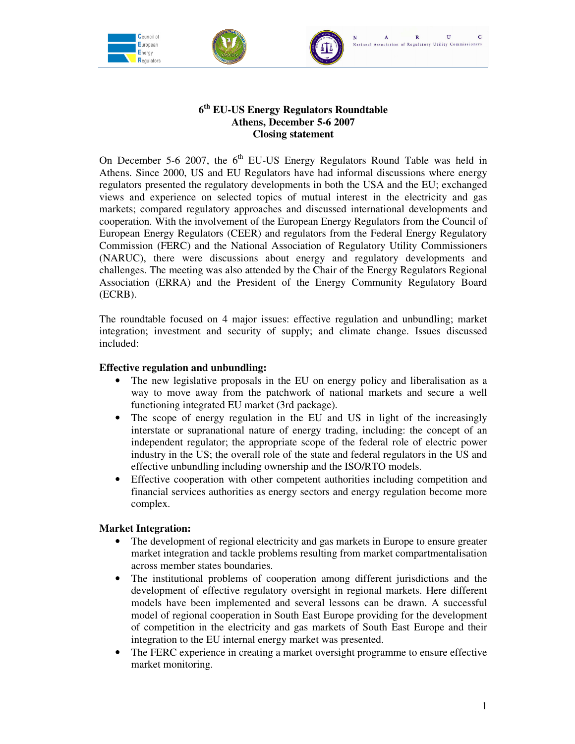





## **6 th EU-US Energy Regulators Roundtable Athens, December 5-6 2007 Closing statement**

On December 5-6 2007, the  $6<sup>th</sup>$  EU-US Energy Regulators Round Table was held in Athens. Since 2000, US and EU Regulators have had informal discussions where energy regulators presented the regulatory developments in both the USA and the EU; exchanged views and experience on selected topics of mutual interest in the electricity and gas markets; compared regulatory approaches and discussed international developments and cooperation. With the involvement of the European Energy Regulators from the Council of European Energy Regulators (CEER) and regulators from the Federal Energy Regulatory Commission (FERC) and the National Association of Regulatory Utility Commissioners (NARUC), there were discussions about energy and regulatory developments and challenges. The meeting was also attended by the Chair of the Energy Regulators Regional Association (ERRA) and the President of the Energy Community Regulatory Board (ECRB).

The roundtable focused on 4 major issues: effective regulation and unbundling; market integration; investment and security of supply; and climate change. Issues discussed included:

# **Effective regulation and unbundling:**

- The new legislative proposals in the EU on energy policy and liberalisation as a way to move away from the patchwork of national markets and secure a well functioning integrated EU market (3rd package).
- The scope of energy regulation in the EU and US in light of the increasingly interstate or supranational nature of energy trading, including: the concept of an independent regulator; the appropriate scope of the federal role of electric power industry in the US; the overall role of the state and federal regulators in the US and effective unbundling including ownership and the ISO/RTO models.
- Effective cooperation with other competent authorities including competition and financial services authorities as energy sectors and energy regulation become more complex.

## **Market Integration:**

- The development of regional electricity and gas markets in Europe to ensure greater market integration and tackle problems resulting from market compartmentalisation across member states boundaries.
- The institutional problems of cooperation among different jurisdictions and the development of effective regulatory oversight in regional markets. Here different models have been implemented and several lessons can be drawn. A successful model of regional cooperation in South East Europe providing for the development of competition in the electricity and gas markets of South East Europe and their integration to the EU internal energy market was presented.
- The FERC experience in creating a market oversight programme to ensure effective market monitoring.